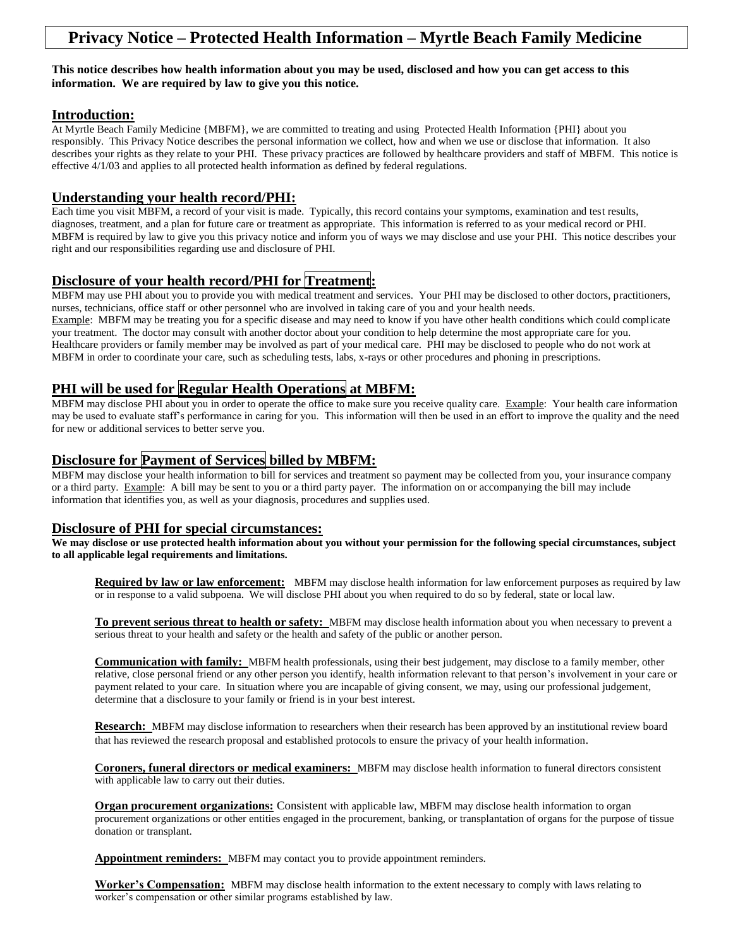# **Privacy Notice – Protected Health Information – Myrtle Beach Family Medicine**

#### **This notice describes how health information about you may be used, disclosed and how you can get access to this information. We are required by law to give you this notice.**

### **Introduction:**

At Myrtle Beach Family Medicine {MBFM}, we are committed to treating and using Protected Health Information {PHI} about you responsibly. This Privacy Notice describes the personal information we collect, how and when we use or disclose that information. It also describes your rights as they relate to your PHI. These privacy practices are followed by healthcare providers and staff of MBFM. This notice is effective 4/1/03 and applies to all protected health information as defined by federal regulations.

### **Understanding your health record/PHI:**

Each time you visit MBFM, a record of your visit is made. Typically, this record contains your symptoms, examination and test results, diagnoses, treatment, and a plan for future care or treatment as appropriate. This information is referred to as your medical record or PHI. MBFM is required by law to give you this privacy notice and inform you of ways we may disclose and use your PHI. This notice describes your right and our responsibilities regarding use and disclosure of PHI.

## **Disclosure of your health record/PHI for Treatment:**

MBFM may use PHI about you to provide you with medical treatment and services. Your PHI may be disclosed to other doctors, practitioners, nurses, technicians, office staff or other personnel who are involved in taking care of you and your health needs.

Example: MBFM may be treating you for a specific disease and may need to know if you have other health conditions which could complicate your treatment. The doctor may consult with another doctor about your condition to help determine the most appropriate care for you. Healthcare providers or family member may be involved as part of your medical care. PHI may be disclosed to people who do not work at MBFM in order to coordinate your care, such as scheduling tests, labs, x-rays or other procedures and phoning in prescriptions.

# **PHI will be used for Regular Health Operations at MBFM:**

MBFM may disclose PHI about you in order to operate the office to make sure you receive quality care. Example: Your health care information may be used to evaluate staff's performance in caring for you. This information will then be used in an effort to improve the quality and the need for new or additional services to better serve you.

## **Disclosure for Payment of Services billed by MBFM:**

MBFM may disclose your health information to bill for services and treatment so payment may be collected from you, your insurance company or a third party. Example: A bill may be sent to you or a third party payer. The information on or accompanying the bill may include information that identifies you, as well as your diagnosis, procedures and supplies used.

### **Disclosure of PHI for special circumstances:**

**We may disclose or use protected health information about you without your permission for the following special circumstances, subject to all applicable legal requirements and limitations.**

**Required by law or law enforcement:** MBFM may disclose health information for law enforcement purposes as required by law or in response to a valid subpoena. We will disclose PHI about you when required to do so by federal, state or local law.

**To prevent serious threat to health or safety:** MBFM may disclose health information about you when necessary to prevent a serious threat to your health and safety or the health and safety of the public or another person.

**Communication with family:** MBFM health professionals, using their best judgement, may disclose to a family member, other relative, close personal friend or any other person you identify, health information relevant to that person's involvement in your care or payment related to your care. In situation where you are incapable of giving consent, we may, using our professional judgement, determine that a disclosure to your family or friend is in your best interest.

**Research:** MBFM may disclose information to researchers when their research has been approved by an institutional review board that has reviewed the research proposal and established protocols to ensure the privacy of your health information.

**Coroners, funeral directors or medical examiners:** MBFM may disclose health information to funeral directors consistent with applicable law to carry out their duties.

**Organ procurement organizations:** Consistent with applicable law, MBFM may disclose health information to organ procurement organizations or other entities engaged in the procurement, banking, or transplantation of organs for the purpose of tissue donation or transplant.

**Appointment reminders:** MBFM may contact you to provide appointment reminders.

**Worker's Compensation:** MBFM may disclose health information to the extent necessary to comply with laws relating to worker's compensation or other similar programs established by law.